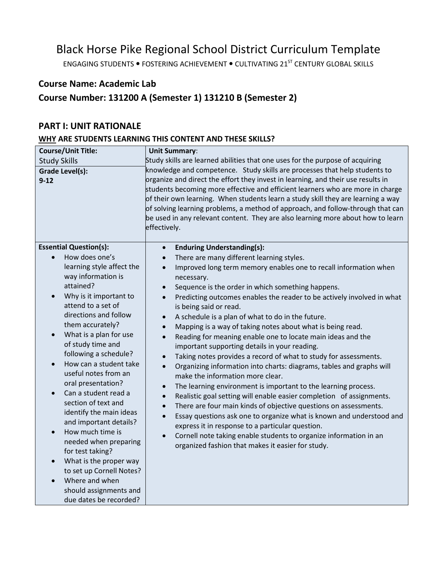# Black Horse Pike Regional School District Curriculum Template

ENGAGING STUDENTS . FOSTERING ACHIEVEMENT . CULTIVATING 21<sup>ST</sup> CENTURY GLOBAL SKILLS

# **Course Name: Academic Lab**

# **Course Number: 131200 A (Semester 1) 131210 B (Semester 2)**

### **PART I: UNIT RATIONALE**

# **WHY ARE STUDENTS LEARNING THIS CONTENT AND THESE SKILLS?**

| <b>Course/Unit Title:</b>                                   | <b>Unit Summary:</b>                                                                                                                                                                                                                                                                                                                                                                                                                                                                                                       |
|-------------------------------------------------------------|----------------------------------------------------------------------------------------------------------------------------------------------------------------------------------------------------------------------------------------------------------------------------------------------------------------------------------------------------------------------------------------------------------------------------------------------------------------------------------------------------------------------------|
| <b>Study Skills</b>                                         | Study skills are learned abilities that one uses for the purpose of acquiring                                                                                                                                                                                                                                                                                                                                                                                                                                              |
| Grade Level(s):<br>$9 - 12$                                 | knowledge and competence. Study skills are processes that help students to<br>organize and direct the effort they invest in learning, and their use results in<br>students becoming more effective and efficient learners who are more in charge<br>of their own learning. When students learn a study skill they are learning a way<br>of solving learning problems, a method of approach, and follow-through that can<br>be used in any relevant content. They are also learning more about how to learn<br>effectively. |
| <b>Essential Question(s):</b>                               | <b>Enduring Understanding(s):</b><br>$\bullet$                                                                                                                                                                                                                                                                                                                                                                                                                                                                             |
| How does one's<br>$\bullet$                                 | There are many different learning styles.<br>$\bullet$                                                                                                                                                                                                                                                                                                                                                                                                                                                                     |
| learning style affect the<br>way information is             | Improved long term memory enables one to recall information when<br>$\bullet$<br>necessary.                                                                                                                                                                                                                                                                                                                                                                                                                                |
| attained?                                                   | Sequence is the order in which something happens.<br>$\bullet$                                                                                                                                                                                                                                                                                                                                                                                                                                                             |
| Why is it important to<br>$\bullet$<br>attend to a set of   | Predicting outcomes enables the reader to be actively involved in what<br>$\bullet$<br>is being said or read.                                                                                                                                                                                                                                                                                                                                                                                                              |
| directions and follow                                       | A schedule is a plan of what to do in the future.<br>$\bullet$                                                                                                                                                                                                                                                                                                                                                                                                                                                             |
| them accurately?                                            | Mapping is a way of taking notes about what is being read.<br>$\bullet$                                                                                                                                                                                                                                                                                                                                                                                                                                                    |
| What is a plan for use<br>$\bullet$                         | Reading for meaning enable one to locate main ideas and the<br>$\bullet$                                                                                                                                                                                                                                                                                                                                                                                                                                                   |
| of study time and                                           | important supporting details in your reading.                                                                                                                                                                                                                                                                                                                                                                                                                                                                              |
| following a schedule?                                       | Taking notes provides a record of what to study for assessments.<br>$\bullet$                                                                                                                                                                                                                                                                                                                                                                                                                                              |
| How can a student take<br>$\bullet$<br>useful notes from an | Organizing information into charts: diagrams, tables and graphs will<br>$\bullet$<br>make the information more clear.                                                                                                                                                                                                                                                                                                                                                                                                      |
| oral presentation?                                          | The learning environment is important to the learning process.<br>$\bullet$                                                                                                                                                                                                                                                                                                                                                                                                                                                |
| Can a student read a<br>$\bullet$                           | Realistic goal setting will enable easier completion of assignments.<br>$\bullet$                                                                                                                                                                                                                                                                                                                                                                                                                                          |
| section of text and<br>identify the main ideas              | There are four main kinds of objective questions on assessments.<br>$\bullet$                                                                                                                                                                                                                                                                                                                                                                                                                                              |
| and important details?                                      | Essay questions ask one to organize what is known and understood and<br>$\bullet$                                                                                                                                                                                                                                                                                                                                                                                                                                          |
| How much time is<br>$\bullet$                               | express it in response to a particular question.                                                                                                                                                                                                                                                                                                                                                                                                                                                                           |
| needed when preparing                                       | Cornell note taking enable students to organize information in an<br>$\bullet$                                                                                                                                                                                                                                                                                                                                                                                                                                             |
| for test taking?                                            | organized fashion that makes it easier for study.                                                                                                                                                                                                                                                                                                                                                                                                                                                                          |
| What is the proper way<br>$\bullet$                         |                                                                                                                                                                                                                                                                                                                                                                                                                                                                                                                            |
| to set up Cornell Notes?                                    |                                                                                                                                                                                                                                                                                                                                                                                                                                                                                                                            |
| Where and when                                              |                                                                                                                                                                                                                                                                                                                                                                                                                                                                                                                            |
| should assignments and                                      |                                                                                                                                                                                                                                                                                                                                                                                                                                                                                                                            |
| due dates be recorded?                                      |                                                                                                                                                                                                                                                                                                                                                                                                                                                                                                                            |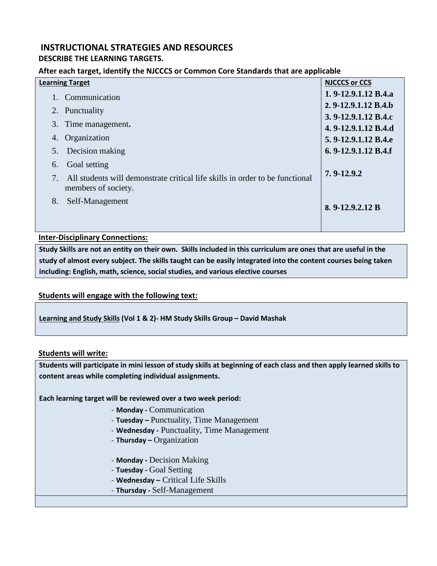# **INSTRUCTIONAL STRATEGIES AND RESOURCES**

### **DESCRIBE THE LEARNING TARGETS.**

#### **After each target, identify the NJCCCS or Common Core Standards that are applicable**

| <b>Learning Target</b>                                                                              | <b>NJCCCS or CCS</b> |
|-----------------------------------------------------------------------------------------------------|----------------------|
| 1. Communication                                                                                    | 1.9-12.9.1.12 B.4.a  |
| 2. Punctuality                                                                                      | 2.9-12.9.1.12 B.4.b  |
|                                                                                                     | 3.9-12.9.1.12 B.4.c  |
| 3. Time management.                                                                                 | 4.9-12.9.1.12 B.4.d  |
| Organization<br>4.                                                                                  | 5.9-12.9.1.12 B.4.e  |
| Decision making<br>5.                                                                               | 6.9-12.9.1.12 B.4.f  |
| Goal setting<br>6.                                                                                  |                      |
| All students will demonstrate critical life skills in order to be functional<br>members of society. | 7.9-12.9.2           |
| 8.<br>Self-Management                                                                               | 8. $9-12.9.2.12 B$   |
|                                                                                                     |                      |

#### **Inter-Disciplinary Connections:**

**Study Skills are not an entity on their own. Skills included in this curriculum are ones that are useful in the study of almost every subject. The skills taught can be easily integrated into the content courses being taken including: English, math, science, social studies, and various elective courses**

#### **Students will engage with the following text:**

**Learning and Study Skills (Vol 1 & 2)- HM Study Skills Group – David Mashak**

#### **Students will write:**

**Students will participate in mini lesson of study skills at beginning of each class and then apply learned skills to content areas while completing individual assignments.**

**Each learning target will be reviewed over a two week period:**

- **Monday -** Communication
- **Tuesday –** Punctuality, Time Management
- **Wednesday -** Punctuality, Time Management
- **Thursday –** Organization
- **Monday -** Decision Making
- **Tuesday -** Goal Setting
- **Wednesday –** Critical Life Skills
- **Thursday -** Self-Management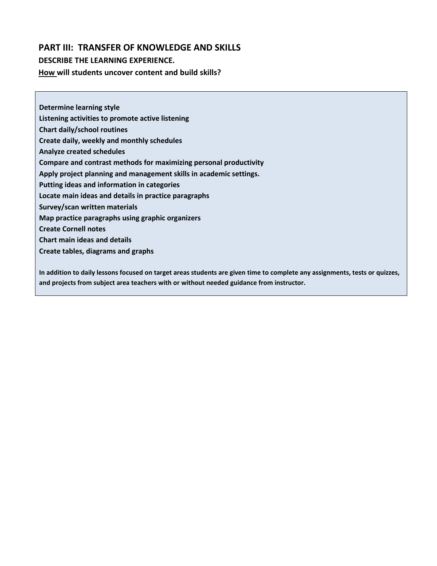## **PART III: TRANSFER OF KNOWLEDGE AND SKILLS**

#### **DESCRIBE THE LEARNING EXPERIENCE.**

**How will students uncover content and build skills?**

**Determine learning style Listening activities to promote active listening Chart daily/school routines Create daily, weekly and monthly schedules Analyze created schedules Compare and contrast methods for maximizing personal productivity Apply project planning and management skills in academic settings. Putting ideas and information in categories Locate main ideas and details in practice paragraphs Survey/scan written materials Map practice paragraphs using graphic organizers Create Cornell notes Chart main ideas and details Create tables, diagrams and graphs**

**In addition to daily lessons focused on target areas students are given time to complete any assignments, tests or quizzes, and projects from subject area teachers with or without needed guidance from instructor.**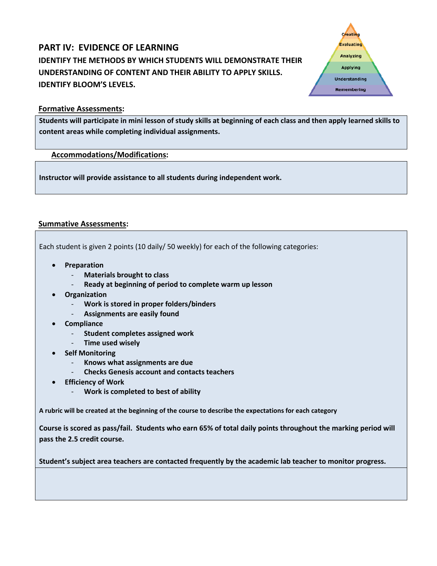# **PART IV: EVIDENCE OF LEARNING IDENTIFY THE METHODS BY WHICH STUDENTS WILL DEMONSTRATE THEIR UNDERSTANDING OF CONTENT AND THEIR ABILITY TO APPLY SKILLS. IDENTIFY BLOOM'S LEVELS.**



**Students will participate in mini lesson of study skills at beginning of each class and then apply learned skills to content areas while completing individual assignments.**

#### **Accommodations/Modifications:**

**Instructor will provide assistance to all students during independent work.** 

#### **Summative Assessments:**

Each student is given 2 points (10 daily/ 50 weekly) for each of the following categories:

- **Preparation**
	- **Materials brought to class**
	- **Ready at beginning of period to complete warm up lesson**
- **Organization**
	- **Work is stored in proper folders/binders**
	- **Assignments are easily found**
- **Compliance**
	- **Student completes assigned work**
	- **Time used wisely**
- **Self Monitoring**
	- **Knows what assignments are due**
	- **Checks Genesis account and contacts teachers**
- **Efficiency of Work**
	- **Work is completed to best of ability**

**A rubric will be created at the beginning of the course to describe the expectations for each category**

**Course is scored as pass/fail. Students who earn 65% of total daily points throughout the marking period will pass the 2.5 credit course.** 

**Student's subject area teachers are contacted frequently by the academic lab teacher to monitor progress.**